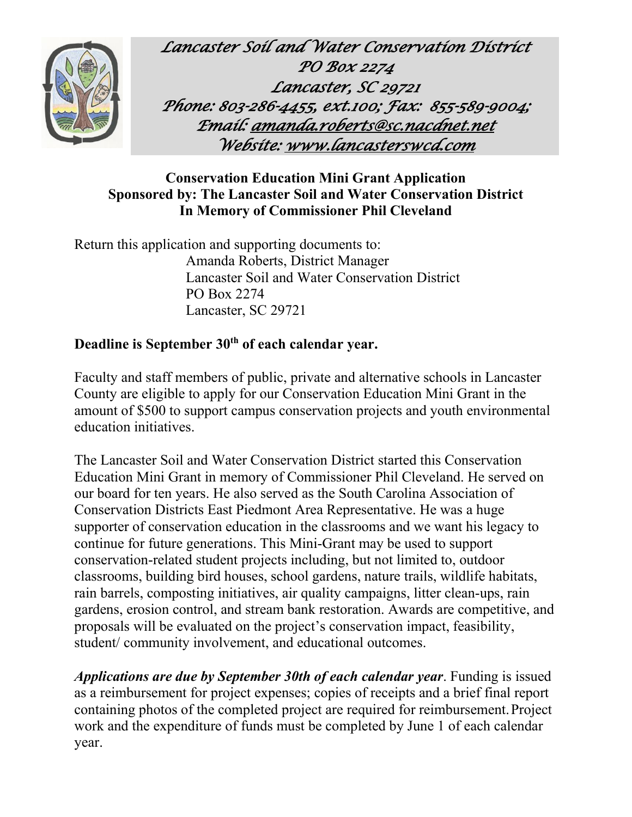

*Lancaster Soil and Water Conservation District PO Box 2274 Lancaster, SC 29721 Phone: 803-286-4455, ext.100; Fax: 855-589-9004; Emai[l: amanda.roberts@sc.nacdnet.net](mailto:amanda.roberts@sc.nacdnet.net)  Website[: www.lancasterswcd.com](http://www.lancasterswcd.com/)* 

## **Conservation Education Mini Grant Application Sponsored by: The Lancaster Soil and Water Conservation District In Memory of Commissioner Phil Cleveland**

Return this application and supporting documents to: Amanda Roberts, District Manager Lancaster Soil and Water Conservation District PO Box 2274 Lancaster, SC 29721

## **Deadline is September 30th of each calendar year.**

Faculty and staff members of public, private and alternative schools in Lancaster County are eligible to apply for our Conservation Education Mini Grant in the amount of \$500 to support campus conservation projects and youth environmental education initiatives.

The Lancaster Soil and Water Conservation District started this Conservation Education Mini Grant in memory of Commissioner Phil Cleveland. He served on our board for ten years. He also served as the South Carolina Association of Conservation Districts East Piedmont Area Representative. He was a huge supporter of conservation education in the classrooms and we want his legacy to continue for future generations. This Mini-Grant may be used to support conservation-related student projects including, but not limited to, outdoor classrooms, building bird houses, school gardens, nature trails, wildlife habitats, rain barrels, composting initiatives, air quality campaigns, litter clean-ups, rain gardens, erosion control, and stream bank restoration. Awards are competitive, and proposals will be evaluated on the project's conservation impact, feasibility, student/ community involvement, and educational outcomes.

*Applications are due by September 30th of each calendar year*. Funding is issued as a reimbursement for project expenses; copies of receipts and a brief final report containing photos of the completed project are required for reimbursement.Project work and the expenditure of funds must be completed by June 1 of each calendar year.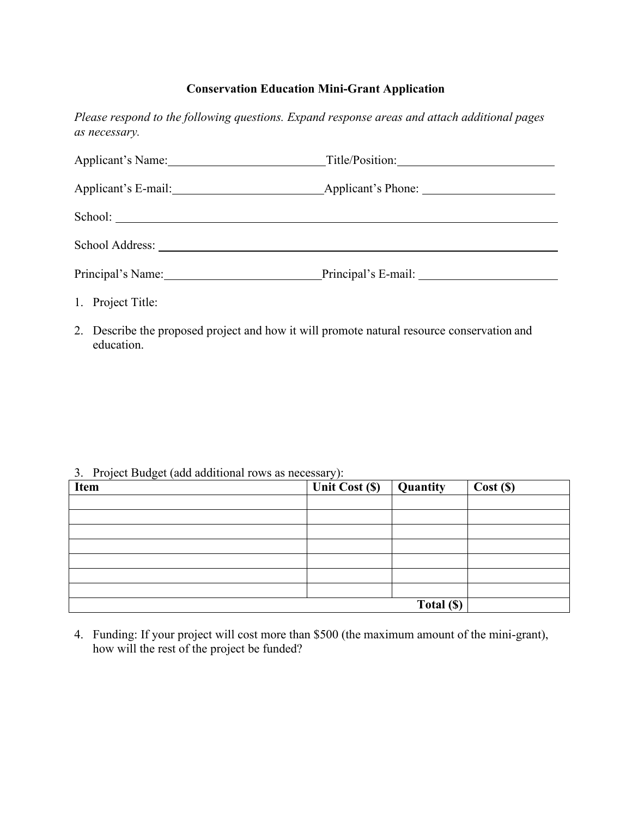## **Conservation Education Mini-Grant Application**

*Please respond to the following questions. Expand response areas and attach additional pages as necessary.*

| Applicant's Name: |                     |  |
|-------------------|---------------------|--|
|                   |                     |  |
|                   |                     |  |
|                   |                     |  |
| Principal's Name: | Principal's E-mail: |  |
| 1. Project Title: |                     |  |

2. Describe the proposed project and how it will promote natural resource conservation and education.

## 3. Project Budget (add additional rows as necessary):

| . .<br><b>Item</b> | J <i>I</i><br>Unit Cost $(\mathbb{S})$ | <b>Quantity</b> | Cost(S) |
|--------------------|----------------------------------------|-----------------|---------|
|                    |                                        |                 |         |
|                    |                                        |                 |         |
|                    |                                        |                 |         |
|                    |                                        |                 |         |
|                    |                                        |                 |         |
|                    |                                        |                 |         |
|                    |                                        |                 |         |
|                    |                                        | Total (\$)      |         |

4. Funding: If your project will cost more than \$500 (the maximum amount of the mini-grant), how will the rest of the project be funded?